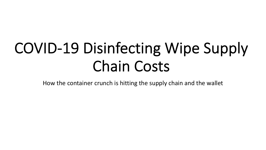## COVID-19 Disinfecting Wipe Supply Chain Costs

How the container crunch is hitting the supply chain and the wallet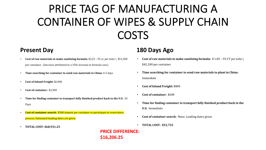### PRICE TAG OF MANUFACTURING A CONTAINER OF WIPES & SUPPLY CHAIN COSTS

#### **Present Day**

- **Cost of raw materials to make sanitizing formula:**  $$2.25 95$  ct. per tube  $\setminus$  \$51,300 per container. (Increase attributed to a 35% increase in formula cost.)
- **Time searching for container to send raw materials to China:** 4-5 days
- **Cost of Inland Freight:** \$2,000
- Cost of container: \$2,500
- Time for finding container to transport fully finished product back to the U.S: 20 Days
- **Cost of container search:** \$300 deposit per container to participate in reservation process. Estimated loading dates are given.
- **TOTAL COST: \$68,931.25**

#### **180 Days Ago**

- **Cost of raw materials to make sanitizing formula:**  $$1.85 95$  CT per tube | \$42,180 per container
- **Time searching for container to send raw materials to plant in China:** Immediate
- Cost of Inland Freight: \$800
- **Cost of container: \$600**
- Time for finding container to transport fully finished product back to the **U.S:** Immediate
- Cost of container search: None. Loading dates given.
- **TOTAL COST: \$52,725**

**PRICE DIFFERENCE: \$16,206.25**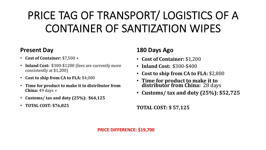### PRICE TAG OF TRANSPORT/ LOGISTICS OF A CONTAINER OF SANTIZATION WIPES

### **Present Day**

- **Cost of Container:** \$7,500 +
- **Inland Cost:** \$300-\$1200 (fees are currently more consistently at \$1,200)
- Cost to ship from CA to FLA: \$4,000
- Time for product to make it to distributor from **China:** 49 days +
- **Customs/ tax and duty (25%): \$64,125**
- **TOTAL COST: \$76,825**

### **180 Days Ago**

- **Cost of Container:** \$1,200
- **Inland Cost:** \$300-\$400
- Cost to ship from CA to FLA: \$2,800
- Time for product to make it to **distributor from China:** 28 days
- **Customs/ tax and duty (25%): \$52,725**

**TOTAL COST: \$ 57,125**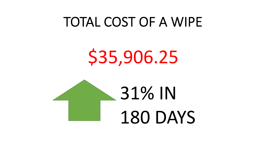### TOTAL COST OF A WIPE

# \$35,906.25